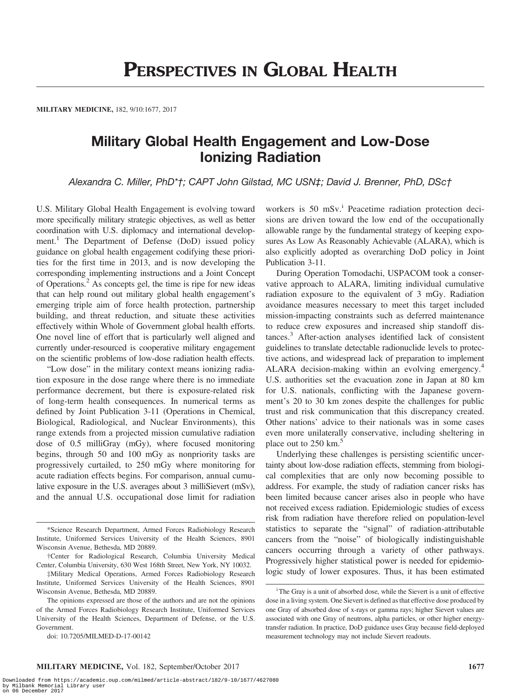MILITARY MEDICINE, 182, 9/10:1677, 2017

## Military Global Health Engagement and Low-Dose Ionizing Radiation

Alexandra C. Miller, PhD\*†; CAPT John Gilstad, MC USN‡; David J. Brenner, PhD, DSc†

U.S. Military Global Health Engagement is evolving toward more specifically military strategic objectives, as well as better coordination with U.S. diplomacy and international development.<sup>1</sup> The Department of Defense (DoD) issued policy guidance on global health engagement codifying these priorities for the first time in 2013, and is now developing the corresponding implementing instructions and a Joint Concept of Operations.2 As concepts gel, the time is ripe for new ideas that can help round out military global health engagement's emerging triple aim of force health protection, partnership building, and threat reduction, and situate these activities effectively within Whole of Government global health efforts. One novel line of effort that is particularly well aligned and currently under-resourced is cooperative military engagement on the scientific problems of low-dose radiation health effects.

"Low dose" in the military context means ionizing radiation exposure in the dose range where there is no immediate performance decrement, but there is exposure-related risk of long-term health consequences. In numerical terms as defined by Joint Publication 3-11 (Operations in Chemical, Biological, Radiological, and Nuclear Environments), this range extends from a projected mission cumulative radiation dose of 0.5 milliGray (mGy), where focused monitoring begins, through 50 and 100 mGy as nonpriority tasks are progressively curtailed, to 250 mGy where monitoring for acute radiation effects begins. For comparison, annual cumulative exposure in the U.S. averages about 3 milliSievert (mSv), and the annual U.S. occupational dose limit for radiation

‡Military Medical Operations, Armed Forces Radiobiology Research Institute, Uniformed Services University of the Health Sciences, 8901 Wisconsin Avenue, Bethesda, MD 20889.

doi: 10.7205/MILMED-D-17-00142

workers is 50 mSv.<sup>i</sup> Peacetime radiation protection decisions are driven toward the low end of the occupationally allowable range by the fundamental strategy of keeping exposures As Low As Reasonably Achievable (ALARA), which is also explicitly adopted as overarching DoD policy in Joint Publication 3-11.

During Operation Tomodachi, USPACOM took a conservative approach to ALARA, limiting individual cumulative radiation exposure to the equivalent of 3 mGy. Radiation avoidance measures necessary to meet this target included mission-impacting constraints such as deferred maintenance to reduce crew exposures and increased ship standoff distances.<sup>3</sup> After-action analyses identified lack of consistent guidelines to translate detectable radionuclide levels to protective actions, and widespread lack of preparation to implement ALARA decision-making within an evolving emergency.<sup>4</sup> U.S. authorities set the evacuation zone in Japan at 80 km for U.S. nationals, conflicting with the Japanese government's 20 to 30 km zones despite the challenges for public trust and risk communication that this discrepancy created. Other nations' advice to their nationals was in some cases even more unilaterally conservative, including sheltering in place out to 250 km.<sup>5</sup>

Underlying these challenges is persisting scientific uncertainty about low-dose radiation effects, stemming from biological complexities that are only now becoming possible to address. For example, the study of radiation cancer risks has been limited because cancer arises also in people who have not received excess radiation. Epidemiologic studies of excess risk from radiation have therefore relied on population-level statistics to separate the "signal" of radiation-attributable cancers from the "noise" of biologically indistinguishable cancers occurring through a variety of other pathways. Progressively higher statistical power is needed for epidemiologic study of lower exposures. Thus, it has been estimated

<sup>\*</sup>Science Research Department, Armed Forces Radiobiology Research Institute, Uniformed Services University of the Health Sciences, 8901 Wisconsin Avenue, Bethesda, MD 20889.

<sup>†</sup>Center for Radiological Research, Columbia University Medical Center, Columbia University, 630 West 168th Street, New York, NY 10032.

The opinions expressed are those of the authors and are not the opinions of the Armed Forces Radiobiology Research Institute, Uniformed Services University of the Health Sciences, Department of Defense, or the U.S. Government.

<sup>&</sup>lt;sup>i</sup> The Gray is a unit of absorbed dose, while the Sievert is a unit of effective dose in a living system. One Sievert is defined as that effective dose produced by one Gray of absorbed dose of x-rays or gamma rays; higher Sievert values are associated with one Gray of neutrons, alpha particles, or other higher energytransfer radiation. In practice, DoD guidance uses Gray because field-deployed measurement technology may not include Sievert readouts.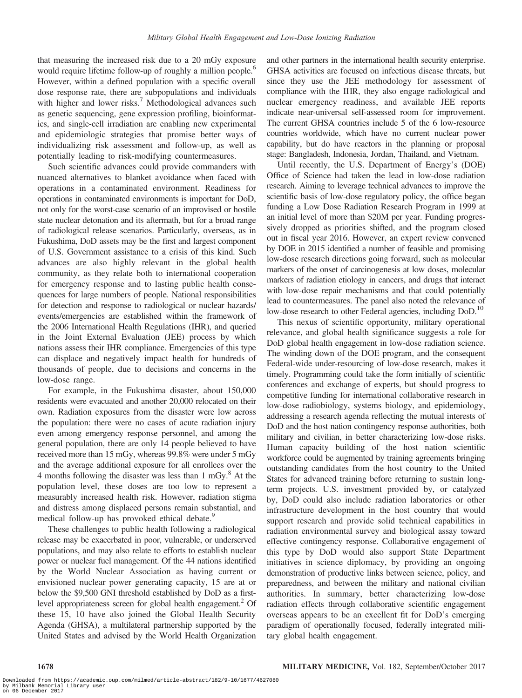that measuring the increased risk due to a 20 mGy exposure would require lifetime follow-up of roughly a million people.<sup>6</sup> However, within a defined population with a specific overall dose response rate, there are subpopulations and individuals with higher and lower risks.<sup>7</sup> Methodological advances such as genetic sequencing, gene expression profiling, bioinformatics, and single-cell irradiation are enabling new experimental and epidemiologic strategies that promise better ways of individualizing risk assessment and follow-up, as well as potentially leading to risk-modifying countermeasures.

Such scientific advances could provide commanders with nuanced alternatives to blanket avoidance when faced with operations in a contaminated environment. Readiness for operations in contaminated environments is important for DoD, not only for the worst-case scenario of an improvised or hostile state nuclear detonation and its aftermath, but for a broad range of radiological release scenarios. Particularly, overseas, as in Fukushima, DoD assets may be the first and largest component of U.S. Government assistance to a crisis of this kind. Such advances are also highly relevant in the global health community, as they relate both to international cooperation for emergency response and to lasting public health consequences for large numbers of people. National responsibilities for detection and response to radiological or nuclear hazards/ events/emergencies are established within the framework of the 2006 International Health Regulations (IHR), and queried in the Joint External Evaluation (JEE) process by which nations assess their IHR compliance. Emergencies of this type can displace and negatively impact health for hundreds of thousands of people, due to decisions and concerns in the low-dose range.

For example, in the Fukushima disaster, about 150,000 residents were evacuated and another 20,000 relocated on their own. Radiation exposures from the disaster were low across the population: there were no cases of acute radiation injury even among emergency response personnel, and among the general population, there are only 14 people believed to have received more than 15 mGy, whereas 99.8% were under 5 mGy and the average additional exposure for all enrollees over the 4 months following the disaster was less than  $1 \text{ mGy}^8$ . At the population level, these doses are too low to represent a measurably increased health risk. However, radiation stigma and distress among displaced persons remain substantial, and medical follow-up has provoked ethical debate.<sup>9</sup>

These challenges to public health following a radiological release may be exacerbated in poor, vulnerable, or underserved populations, and may also relate to efforts to establish nuclear power or nuclear fuel management. Of the 44 nations identified by the World Nuclear Association as having current or envisioned nuclear power generating capacity, 15 are at or below the \$9,500 GNI threshold established by DoD as a firstlevel appropriateness screen for global health engagement.<sup>2</sup> Of these 15, 10 have also joined the Global Health Security Agenda (GHSA), a multilateral partnership supported by the United States and advised by the World Health Organization and other partners in the international health security enterprise. GHSA activities are focused on infectious disease threats, but since they use the JEE methodology for assessment of compliance with the IHR, they also engage radiological and nuclear emergency readiness, and available JEE reports indicate near-universal self-assessed room for improvement. The current GHSA countries include 5 of the 6 low-resource countries worldwide, which have no current nuclear power capability, but do have reactors in the planning or proposal stage: Bangladesh, Indonesia, Jordan, Thailand, and Vietnam.

Until recently, the U.S. Department of Energy's (DOE) Office of Science had taken the lead in low-dose radiation research. Aiming to leverage technical advances to improve the scientific basis of low-dose regulatory policy, the office began funding a Low Dose Radiation Research Program in 1999 at an initial level of more than \$20M per year. Funding progressively dropped as priorities shifted, and the program closed out in fiscal year 2016. However, an expert review convened by DOE in 2015 identified a number of feasible and promising low-dose research directions going forward, such as molecular markers of the onset of carcinogenesis at low doses, molecular markers of radiation etiology in cancers, and drugs that interact with low-dose repair mechanisms and that could potentially lead to countermeasures. The panel also noted the relevance of low-dose research to other Federal agencies, including DoD.<sup>10</sup>

This nexus of scientific opportunity, military operational relevance, and global health significance suggests a role for DoD global health engagement in low-dose radiation science. The winding down of the DOE program, and the consequent Federal-wide under-resourcing of low-dose research, makes it timely. Programming could take the form initially of scientific conferences and exchange of experts, but should progress to competitive funding for international collaborative research in low-dose radiobiology, systems biology, and epidemiology, addressing a research agenda reflecting the mutual interests of DoD and the host nation contingency response authorities, both military and civilian, in better characterizing low-dose risks. Human capacity building of the host nation scientific workforce could be augmented by training agreements bringing outstanding candidates from the host country to the United States for advanced training before returning to sustain longterm projects. U.S. investment provided by, or catalyzed by, DoD could also include radiation laboratories or other infrastructure development in the host country that would support research and provide solid technical capabilities in radiation environmental survey and biological assay toward effective contingency response. Collaborative engagement of this type by DoD would also support State Department initiatives in science diplomacy, by providing an ongoing demonstration of productive links between science, policy, and preparedness, and between the military and national civilian authorities. In summary, better characterizing low-dose radiation effects through collaborative scientific engagement overseas appears to be an excellent fit for DoD's emerging paradigm of operationally focused, federally integrated military global health engagement.